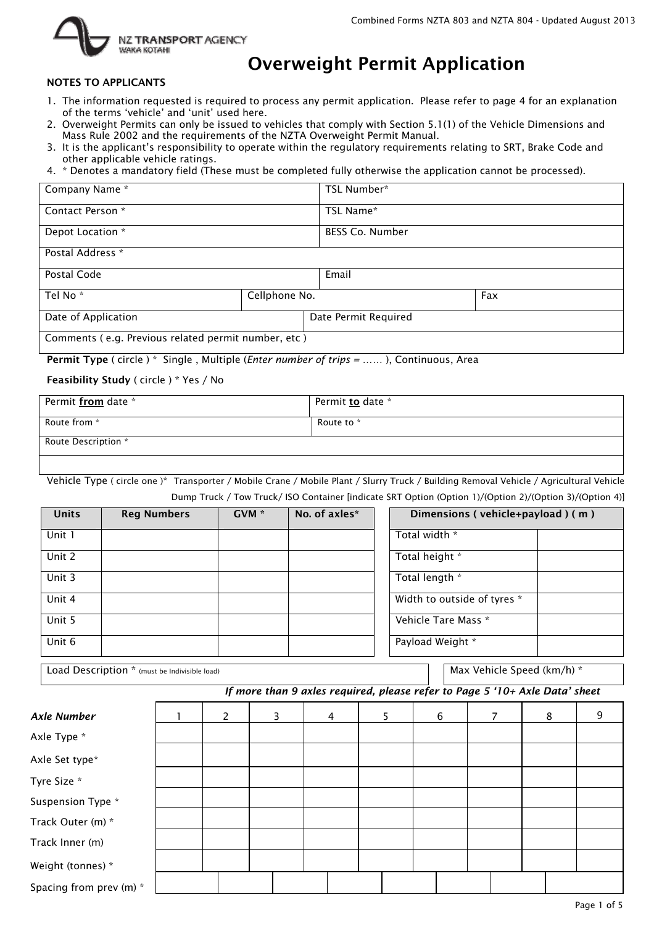

# Overweight Permit Application

#### NOTES TO APPLICANTS

- 1. The information requested is required to process any permit application. Please refer to page 4 for an explanation of the terms 'vehicle' and 'unit' used here.
- 2. Overweight Permits can only be issued to vehicles that comply with Section 5.1(1) of the Vehicle Dimensions and Mass Rule 2002 and the requirements of the NZTA Overweight Permit Manual.
- 3. It is the applicant's responsibility to operate within the regulatory requirements relating to SRT, Brake Code and other applicable vehicle ratings.
- 4. \* Denotes a mandatory field (These must be completed fully otherwise the application cannot be processed).

| Company Name *                                      |               | TSL Number*            |     |
|-----------------------------------------------------|---------------|------------------------|-----|
| Contact Person *                                    |               | TSL Name*              |     |
| Depot Location *                                    |               | <b>BESS Co. Number</b> |     |
| Postal Address *                                    |               |                        |     |
| Postal Code                                         |               | Email                  |     |
| Tel No <sup>*</sup>                                 | Cellphone No. |                        | Fax |
| Date of Application                                 |               | Date Permit Required   |     |
| Comments (e.g. Previous related permit number, etc) |               |                        |     |

Permit Type ( circle ) \* Single , Multiple (*Enter number of trips =* …… ), Continuous, Area

#### Feasibility Study ( circle ) \* Yes / No

| Permit from date *  | Permit to date * |
|---------------------|------------------|
| Route from *        | Route to *       |
| Route Description * |                  |

Vehicle Type ( circle one )\* Transporter / Mobile Crane / Mobile Plant / Slurry Truck / Building Removal Vehicle / Agricultural Vehicle Dump Truck / Tow Truck/ ISO Container [indicate SRT Option (Option 1)/(Option 2)/(Option 3)/(Option 4)]

| <b>Units</b> | No. of axles*<br>GVM <sup>*</sup><br><b>Reg Numbers</b> |  | Dimensions (vehicle+payload) (m) |                             |
|--------------|---------------------------------------------------------|--|----------------------------------|-----------------------------|
| Unit 1       |                                                         |  | Total width *                    |                             |
| Unit 2       |                                                         |  |                                  | Total height *              |
| Unit 3       |                                                         |  |                                  | Total length *              |
| Unit 4       |                                                         |  |                                  | Width to outside of tyres * |
| Unit 5       |                                                         |  |                                  | Vehicle Tare Mass *         |
| Unit 6       |                                                         |  |                                  | Payload Weight *            |

| Load Description * (must be Indivisible load) |  |
|-----------------------------------------------|--|
|-----------------------------------------------|--|

Max Vehicle Speed (km/h) \*

#### *If more than 9 axles required, please refer to Page 5 '10+ Axle Data' sheet*

| <b>Axle Number</b>      | 2 | 3 | 4 | 5 | 6 | 8 | 9 |
|-------------------------|---|---|---|---|---|---|---|
| Axle Type *             |   |   |   |   |   |   |   |
| Axle Set type*          |   |   |   |   |   |   |   |
| Tyre Size *             |   |   |   |   |   |   |   |
| Suspension Type *       |   |   |   |   |   |   |   |
| Track Outer (m) *       |   |   |   |   |   |   |   |
| Track Inner (m)         |   |   |   |   |   |   |   |
| Weight (tonnes) *       |   |   |   |   |   |   |   |
| Spacing from prev (m) * |   |   |   |   |   |   |   |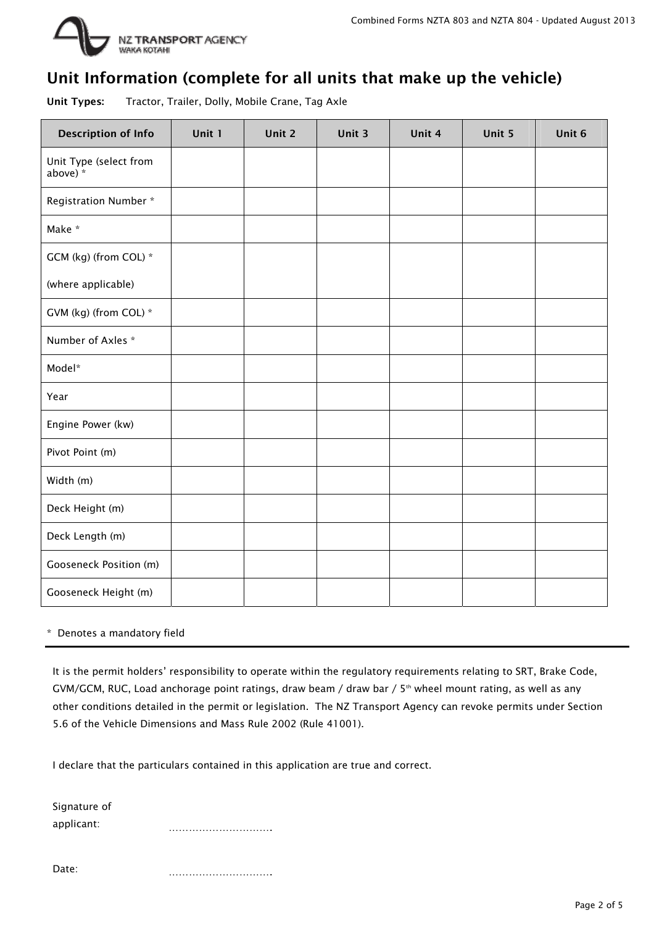

### Unit Information (complete for all units that make up the vehicle)

Unit Types: Tractor, Trailer, Dolly, Mobile Crane, Tag Axle

| <b>Description of Info</b>         | Unit 1 | Unit 2 | Unit 3 | Unit 4 | Unit 5 | Unit 6 |
|------------------------------------|--------|--------|--------|--------|--------|--------|
| Unit Type (select from<br>above) * |        |        |        |        |        |        |
| Registration Number *              |        |        |        |        |        |        |
| Make *                             |        |        |        |        |        |        |
| GCM (kg) (from COL) *              |        |        |        |        |        |        |
| (where applicable)                 |        |        |        |        |        |        |
| GVM (kg) (from COL) *              |        |        |        |        |        |        |
| Number of Axles *                  |        |        |        |        |        |        |
| Model*                             |        |        |        |        |        |        |
| Year                               |        |        |        |        |        |        |
| Engine Power (kw)                  |        |        |        |        |        |        |
| Pivot Point (m)                    |        |        |        |        |        |        |
| Width (m)                          |        |        |        |        |        |        |
| Deck Height (m)                    |        |        |        |        |        |        |
| Deck Length (m)                    |        |        |        |        |        |        |
| Gooseneck Position (m)             |        |        |        |        |        |        |
| Gooseneck Height (m)               |        |        |        |        |        |        |

#### \* Denotes a mandatory field

It is the permit holders' responsibility to operate within the regulatory requirements relating to SRT, Brake Code, GVM/GCM, RUC, Load anchorage point ratings, draw beam / draw bar / 5<sup>th</sup> wheel mount rating, as well as any other conditions detailed in the permit or legislation. The NZ Transport Agency can revoke permits under Section 5.6 of the Vehicle Dimensions and Mass Rule 2002 (Rule 41001).

I declare that the particulars contained in this application are true and correct.

Signature of applicant: ………………………….

Date: ………………………………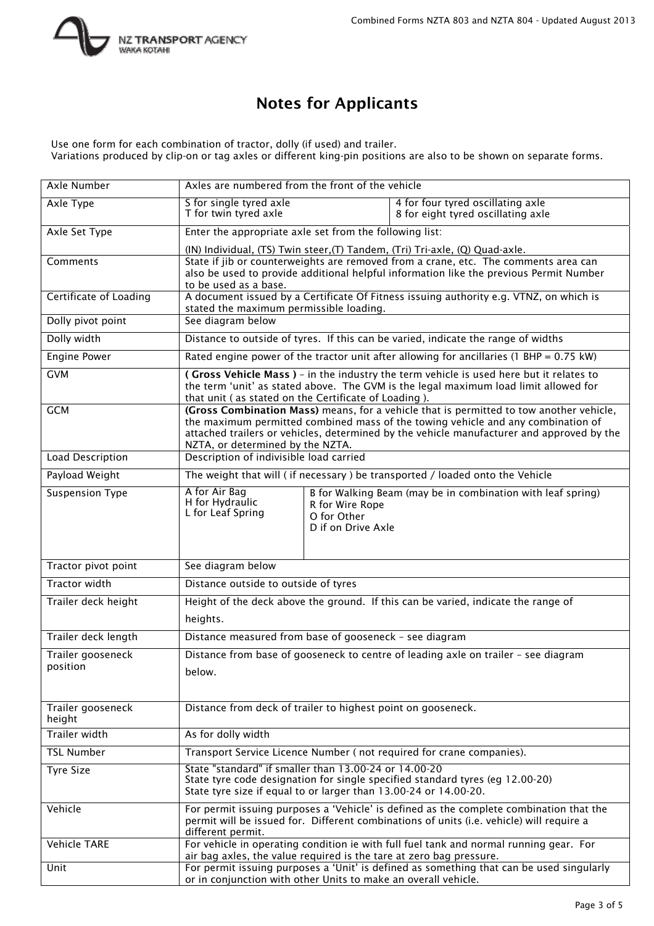

### Notes for Applicants

Use one form for each combination of tractor, dolly (if used) and trailer. Variations produced by clip-on or tag axles or different king-pin positions are also to be shown on separate forms.

| <b>Axle Number</b>            | Axles are numbered from the front of the vehicle                                                                          |                                                                                                                                                                               |                                                                                                                                                                                                                                                                          |  |  |  |  |  |  |
|-------------------------------|---------------------------------------------------------------------------------------------------------------------------|-------------------------------------------------------------------------------------------------------------------------------------------------------------------------------|--------------------------------------------------------------------------------------------------------------------------------------------------------------------------------------------------------------------------------------------------------------------------|--|--|--|--|--|--|
| Axle Type                     | S for single tyred axle<br>T for twin tyred axle                                                                          |                                                                                                                                                                               | 4 for four tyred oscillating axle<br>8 for eight tyred oscillating axle                                                                                                                                                                                                  |  |  |  |  |  |  |
| Axle Set Type                 | Enter the appropriate axle set from the following list:                                                                   |                                                                                                                                                                               |                                                                                                                                                                                                                                                                          |  |  |  |  |  |  |
|                               |                                                                                                                           |                                                                                                                                                                               | (IN) Individual, (TS) Twin steer, (T) Tandem, (Tri) Tri-axle, (Q) Quad-axle.                                                                                                                                                                                             |  |  |  |  |  |  |
| Comments                      | to be used as a base.                                                                                                     | State if jib or counterweights are removed from a crane, etc. The comments area can<br>also be used to provide additional helpful information like the previous Permit Number |                                                                                                                                                                                                                                                                          |  |  |  |  |  |  |
| Certificate of Loading        | stated the maximum permissible loading.                                                                                   |                                                                                                                                                                               | A document issued by a Certificate Of Fitness issuing authority e.g. VTNZ, on which is                                                                                                                                                                                   |  |  |  |  |  |  |
| Dolly pivot point             | See diagram below                                                                                                         |                                                                                                                                                                               |                                                                                                                                                                                                                                                                          |  |  |  |  |  |  |
| Dolly width                   |                                                                                                                           |                                                                                                                                                                               | Distance to outside of tyres. If this can be varied, indicate the range of widths                                                                                                                                                                                        |  |  |  |  |  |  |
| <b>Engine Power</b>           |                                                                                                                           |                                                                                                                                                                               | Rated engine power of the tractor unit after allowing for ancillaries (1 BHP = 0.75 kW)                                                                                                                                                                                  |  |  |  |  |  |  |
| <b>GVM</b>                    | that unit (as stated on the Certificate of Loading).                                                                      |                                                                                                                                                                               | (Gross Vehicle Mass) - in the industry the term vehicle is used here but it relates to<br>the term 'unit' as stated above. The GVM is the legal maximum load limit allowed for                                                                                           |  |  |  |  |  |  |
| <b>GCM</b>                    | NZTA, or determined by the NZTA.                                                                                          |                                                                                                                                                                               | (Gross Combination Mass) means, for a vehicle that is permitted to tow another vehicle,<br>the maximum permitted combined mass of the towing vehicle and any combination of<br>attached trailers or vehicles, determined by the vehicle manufacturer and approved by the |  |  |  |  |  |  |
| <b>Load Description</b>       | Description of indivisible load carried                                                                                   |                                                                                                                                                                               |                                                                                                                                                                                                                                                                          |  |  |  |  |  |  |
| Payload Weight                |                                                                                                                           |                                                                                                                                                                               | The weight that will (if necessary) be transported / loaded onto the Vehicle                                                                                                                                                                                             |  |  |  |  |  |  |
| <b>Suspension Type</b>        | A for Air Bag<br>H for Hydraulic<br>L for Leaf Spring                                                                     | R for Wire Rope<br>O for Other<br>D if on Drive Axle                                                                                                                          | B for Walking Beam (may be in combination with leaf spring)                                                                                                                                                                                                              |  |  |  |  |  |  |
| Tractor pivot point           | See diagram below                                                                                                         |                                                                                                                                                                               |                                                                                                                                                                                                                                                                          |  |  |  |  |  |  |
| <b>Tractor width</b>          | Distance outside to outside of tyres                                                                                      |                                                                                                                                                                               |                                                                                                                                                                                                                                                                          |  |  |  |  |  |  |
| Trailer deck height           | heights.                                                                                                                  |                                                                                                                                                                               | Height of the deck above the ground. If this can be varied, indicate the range of                                                                                                                                                                                        |  |  |  |  |  |  |
| Trailer deck length           | Distance measured from base of gooseneck - see diagram                                                                    |                                                                                                                                                                               |                                                                                                                                                                                                                                                                          |  |  |  |  |  |  |
| Trailer gooseneck<br>position | below.                                                                                                                    |                                                                                                                                                                               | Distance from base of gooseneck to centre of leading axle on trailer - see diagram                                                                                                                                                                                       |  |  |  |  |  |  |
| Trailer gooseneck<br>height   | Distance from deck of trailer to highest point on gooseneck.                                                              |                                                                                                                                                                               |                                                                                                                                                                                                                                                                          |  |  |  |  |  |  |
| <b>Trailer width</b>          | As for dolly width                                                                                                        |                                                                                                                                                                               |                                                                                                                                                                                                                                                                          |  |  |  |  |  |  |
| <b>TSL Number</b>             |                                                                                                                           |                                                                                                                                                                               | Transport Service Licence Number (not required for crane companies).                                                                                                                                                                                                     |  |  |  |  |  |  |
| <b>Tyre Size</b>              | State "standard" if smaller than 13.00-24 or 14.00-20<br>State tyre size if equal to or larger than 13.00-24 or 14.00-20. |                                                                                                                                                                               | State tyre code designation for single specified standard tyres (eg 12.00-20)                                                                                                                                                                                            |  |  |  |  |  |  |
| Vehicle                       | different permit.                                                                                                         |                                                                                                                                                                               | For permit issuing purposes a 'Vehicle' is defined as the complete combination that the<br>permit will be issued for. Different combinations of units (i.e. vehicle) will require a                                                                                      |  |  |  |  |  |  |
| <b>Vehicle TARE</b>           | air bag axles, the value required is the tare at zero bag pressure.                                                       |                                                                                                                                                                               | For vehicle in operating condition ie with full fuel tank and normal running gear. For                                                                                                                                                                                   |  |  |  |  |  |  |
| Unit                          | or in conjunction with other Units to make an overall vehicle.                                                            |                                                                                                                                                                               | For permit issuing purposes a 'Unit' is defined as something that can be used singularly                                                                                                                                                                                 |  |  |  |  |  |  |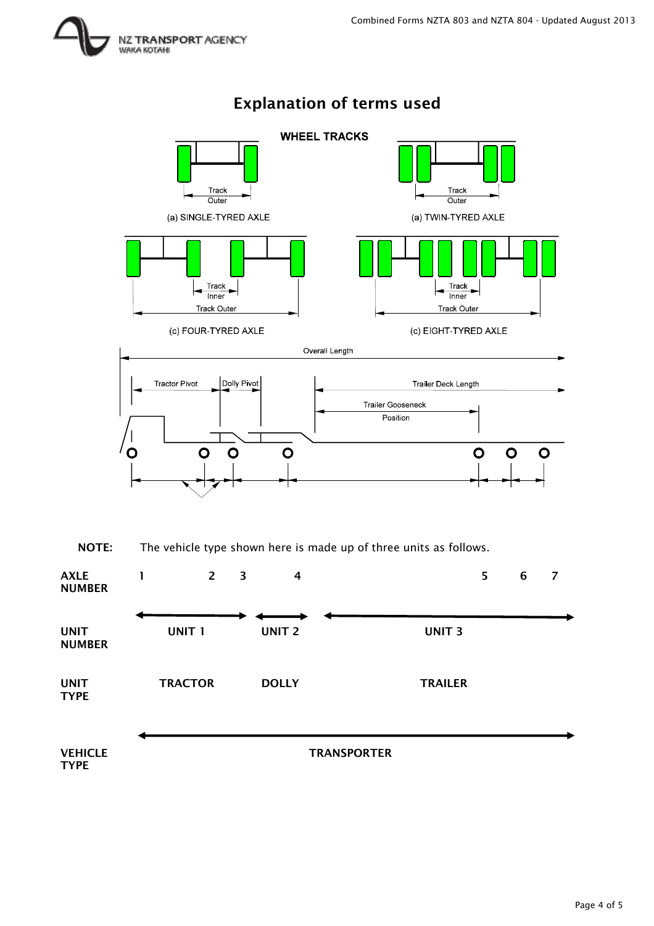

## Explanation of terms used